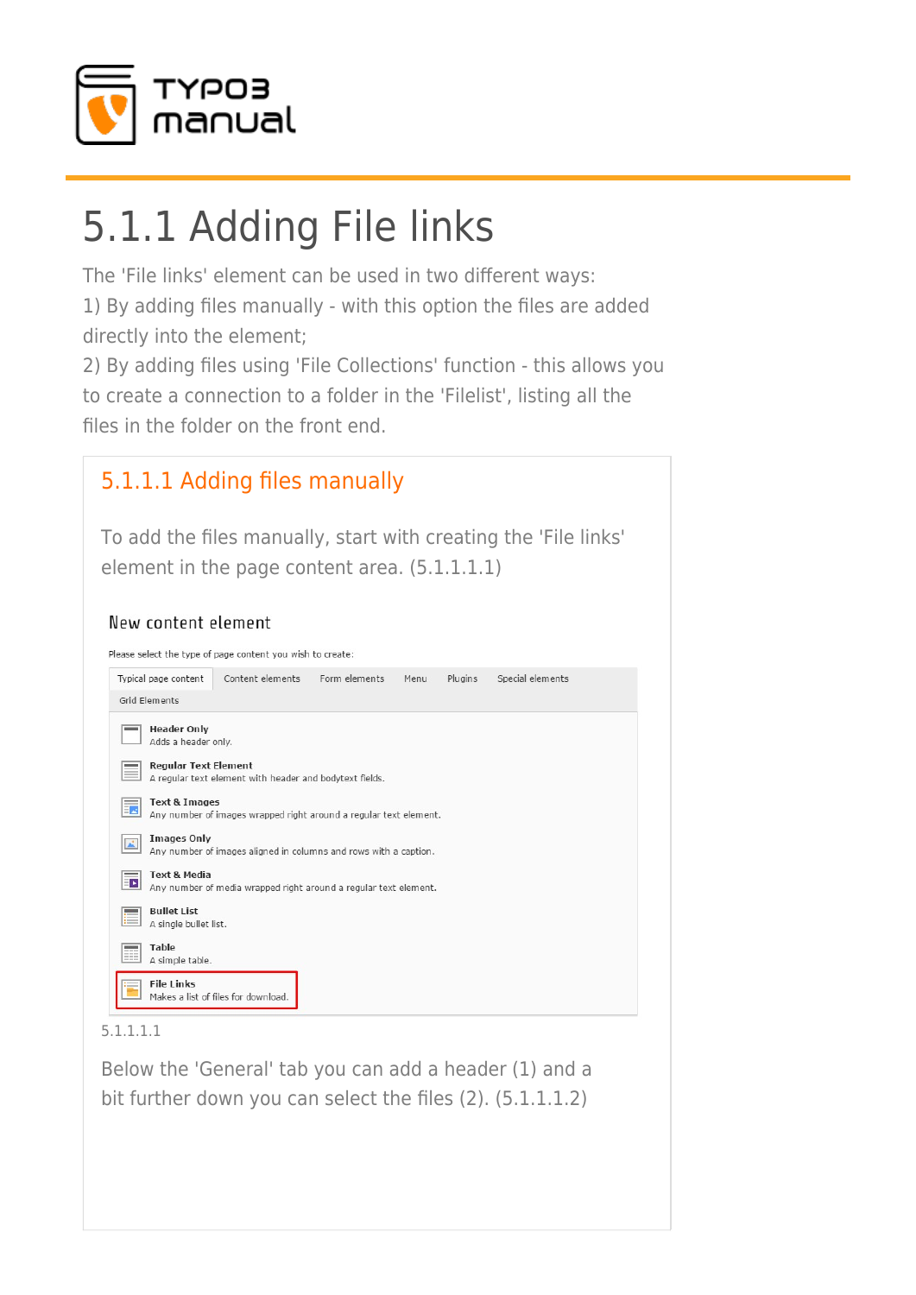

# 5.1.1 Adding File links

The 'File links' element can be used in two different ways: 1) By adding files manually - with this option the files are added directly into the element;

2) By adding files using 'File Collections' function - this allows you to create a connection to a folder in the 'Filelist', listing all the files in the folder on the front end.

## [5.1.1.1 Adding files manually](#page--1-0)

To add the files manually, start with creating the 'File links' element in the page content area. (5.1.1.1.1)

### New content element

Please select the type of page content you wish to create: Typical page content Content elements Form elements Menu Plugins Special elements Grid Elements  $\equiv$  Header Only  $\overline{\phantom{a}}$  Adds a header only Regular Text Element  $\equiv$  A regular text element with header and bodytext fields. Text & Images Any number of images wrapped right around a regular text element. Any number of images aligned in columns and rows with a caption. **Text & Media**  $\overline{B}$  Any number of media wrapped right around a regular text element. **Bullet List** A single bullet list. Table A simple table. **File Links** Makes a list of files for download.

5.1.1.1.1

Below the 'General' tab you can add a header (1) and a bit further down you can select the files (2). (5.1.1.1.2)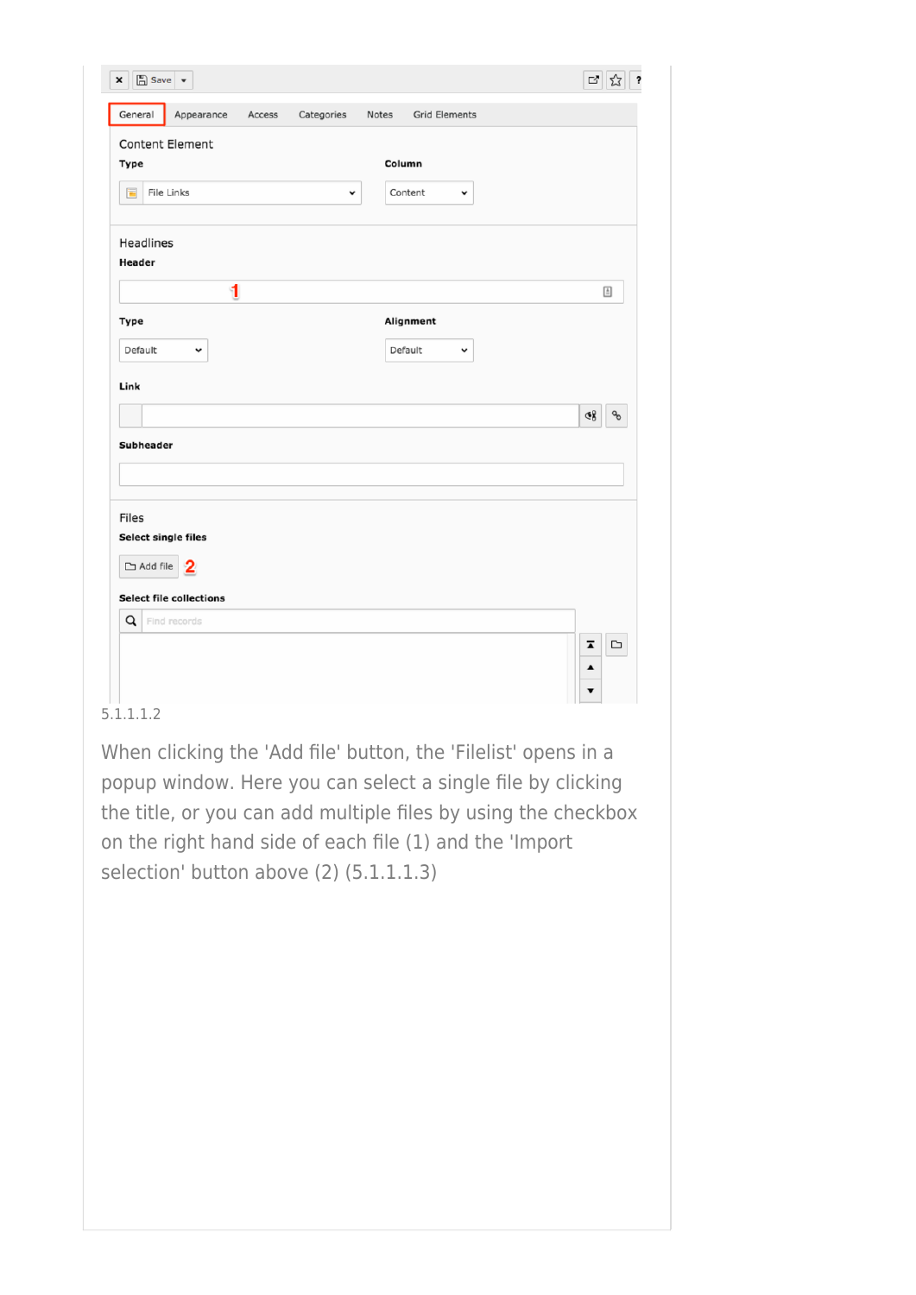| $\boxed{\mathbb{Z}}$ Save $\boxed{\star}$<br>× |                                             | $\mathbb{E}^{\bullet}$<br>☆                       |
|------------------------------------------------|---------------------------------------------|---------------------------------------------------|
| General<br>Appearance<br>Access                | Categories<br>Notes<br><b>Grid Elements</b> |                                                   |
| <b>Content Element</b><br>Type                 | Column                                      |                                                   |
| $\blacksquare$<br>File Links                   | Content<br>$\check{~}$<br>v                 |                                                   |
| Headlines<br>Header                            |                                             |                                                   |
| 1                                              |                                             | $\boxed{\triangleq}$                              |
| Type                                           | Alignment                                   |                                                   |
| Default<br>v                                   | Default<br>v                                |                                                   |
| Link                                           |                                             |                                                   |
|                                                |                                             | $\mathcal{C}_{\mathcal{O}}$<br>હ8ુ                |
| Subheader                                      |                                             |                                                   |
|                                                |                                             |                                                   |
| Files                                          |                                             |                                                   |
| Select single files                            |                                             |                                                   |
| $\Box$ Add file $\boxed{2}$                    |                                             |                                                   |
| <b>Select file collections</b>                 |                                             |                                                   |
| Q<br>Find records                              |                                             |                                                   |
|                                                |                                             | $\overline{\blacktriangle}$<br>$\hfill \Box$<br>▲ |
|                                                |                                             |                                                   |

### 5.1.1.1.2

When clicking the 'Add file' button, the 'Filelist' opens in a popup window. Here you can select a single file by clicking the title, or you can add multiple files by using the checkbox on the right hand side of each file (1) and the 'Import selection' button above (2) (5.1.1.1.3)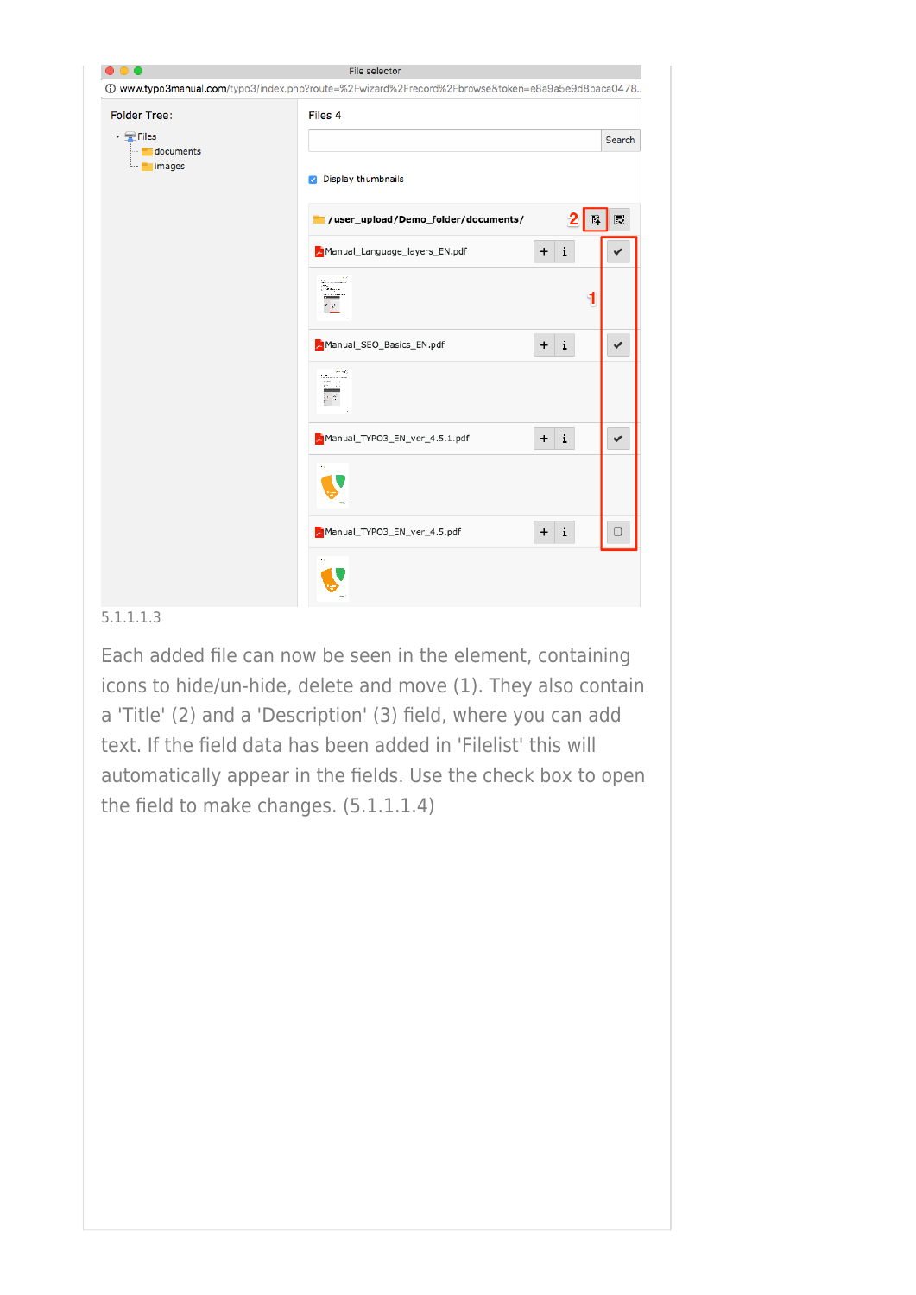| $\bullet\bullet\bullet$                                                                | File selector                                                                                      |        |
|----------------------------------------------------------------------------------------|----------------------------------------------------------------------------------------------------|--------|
|                                                                                        | 13. www.typo3manual.com/typo3/index.php?route=%2Fwizard%2Frecord%2Fbrowse&token=e8a9a5e9d8baca0478 |        |
| <b>Folder Tree:</b>                                                                    | Files 4:                                                                                           |        |
| $\overline{\phantom{a}}$ $\overline{\phantom{a}}$ Files<br>documents<br>-- 1<br>images |                                                                                                    | Search |
|                                                                                        | Display thumbnails<br>$\omega$                                                                     |        |
|                                                                                        | //user_upload/Demo_folder/documents/                                                               | 最<br>霹 |
|                                                                                        | L Manual_Language_layers_EN.pdf<br>i<br>$\ddot{}$                                                  |        |
|                                                                                        | Sannan<br>Peranti<br>大臣                                                                            | 1      |
|                                                                                        | L Manual_SEO_Basics_EN.pdf<br>i.<br>$\ddot{}$                                                      | ✔      |
|                                                                                        |                                                                                                    |        |
|                                                                                        | i.<br>Manual_TYPO3_EN_ver_4.5.1.pdf<br>$\ddot{}$                                                   | ✔      |
|                                                                                        |                                                                                                    |        |
|                                                                                        | i<br>Manual_TYPO3_EN_ver_4.5.pdf<br>$\ddot{}$                                                      | о      |
|                                                                                        |                                                                                                    |        |

### 5.1.1.1.3

Each added file can now be seen in the element, containing icons to hide/un-hide, delete and move (1). They also contain a 'Title' (2) and a 'Description' (3) field, where you can add text. If the field data has been added in 'Filelist' this will automatically appear in the fields. Use the check box to open the field to make changes. (5.1.1.1.4)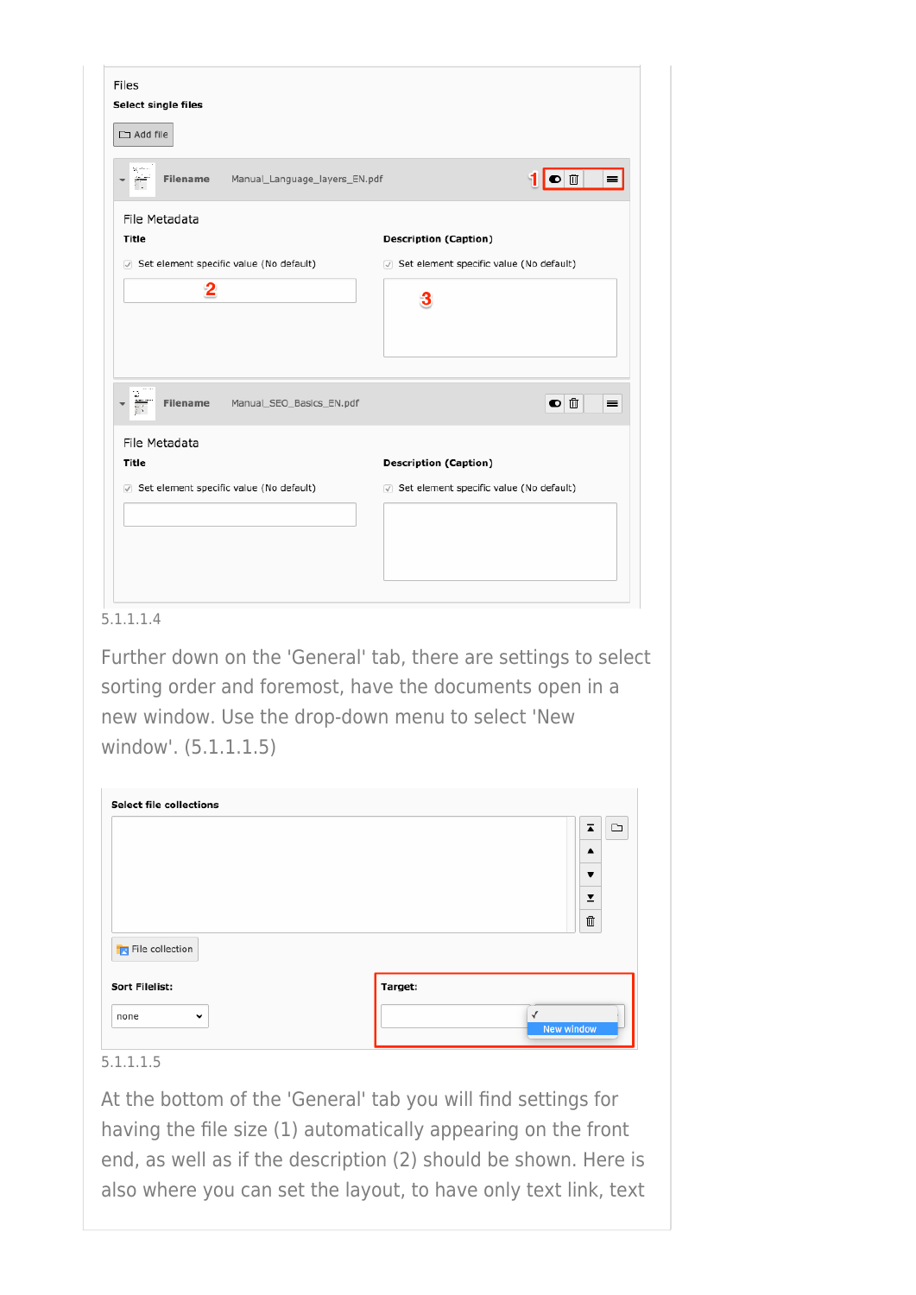| Select single files<br>$\Box$ Add file                                                                                   |                                           |
|--------------------------------------------------------------------------------------------------------------------------|-------------------------------------------|
| $\frac{\partial \mathcal{L}_1}{\partial \mathcal{L}_2}$ where $\alpha$<br>Manual_Language_layers_EN.pdf<br>Filename<br>Ħ | 1 ● 8<br>$\equiv$                         |
| File Metadata                                                                                                            |                                           |
| <b>Title</b>                                                                                                             | <b>Description (Caption)</b>              |
| Set element specific value (No default)                                                                                  | √ Set element specific value (No default) |
| 2                                                                                                                        | 3                                         |
| ÷<br>Manual_SEO_Basics_EN.pdf<br>Filename                                                                                | $\bullet$ $\mathbb{D}$<br>$\equiv$        |
| File Metadata<br><b>Title</b>                                                                                            | <b>Description (Caption)</b>              |
|                                                                                                                          |                                           |
| Set element specific value (No default)                                                                                  | Set element specific value (No default)   |

### 5.1.1.1.4

Further down on the 'General' tab, there are settings to select sorting order and foremost, have the documents open in a new window. Use the drop-down menu to select 'New window'. (5.1.1.1.5)

| <b>Select file collections</b> | $\overline{\blacktriangle}$<br>$\blacktriangle$ | ▭ |
|--------------------------------|-------------------------------------------------|---|
|                                | ▼                                               |   |
|                                | $\overline{\mathbf{r}}$<br>$\bar{\boxplus}$     |   |
| File collection                |                                                 |   |
| <b>Sort Filelist:</b>          | Target:                                         |   |
| none<br>$\check{ }$            | √                                               |   |

### 5.1.1.1.5

At the bottom of the 'General' tab you will find settings for having the file size (1) automatically appearing on the front end, as well as if the description (2) should be shown. Here is also where you can set the layout, to have only text link, text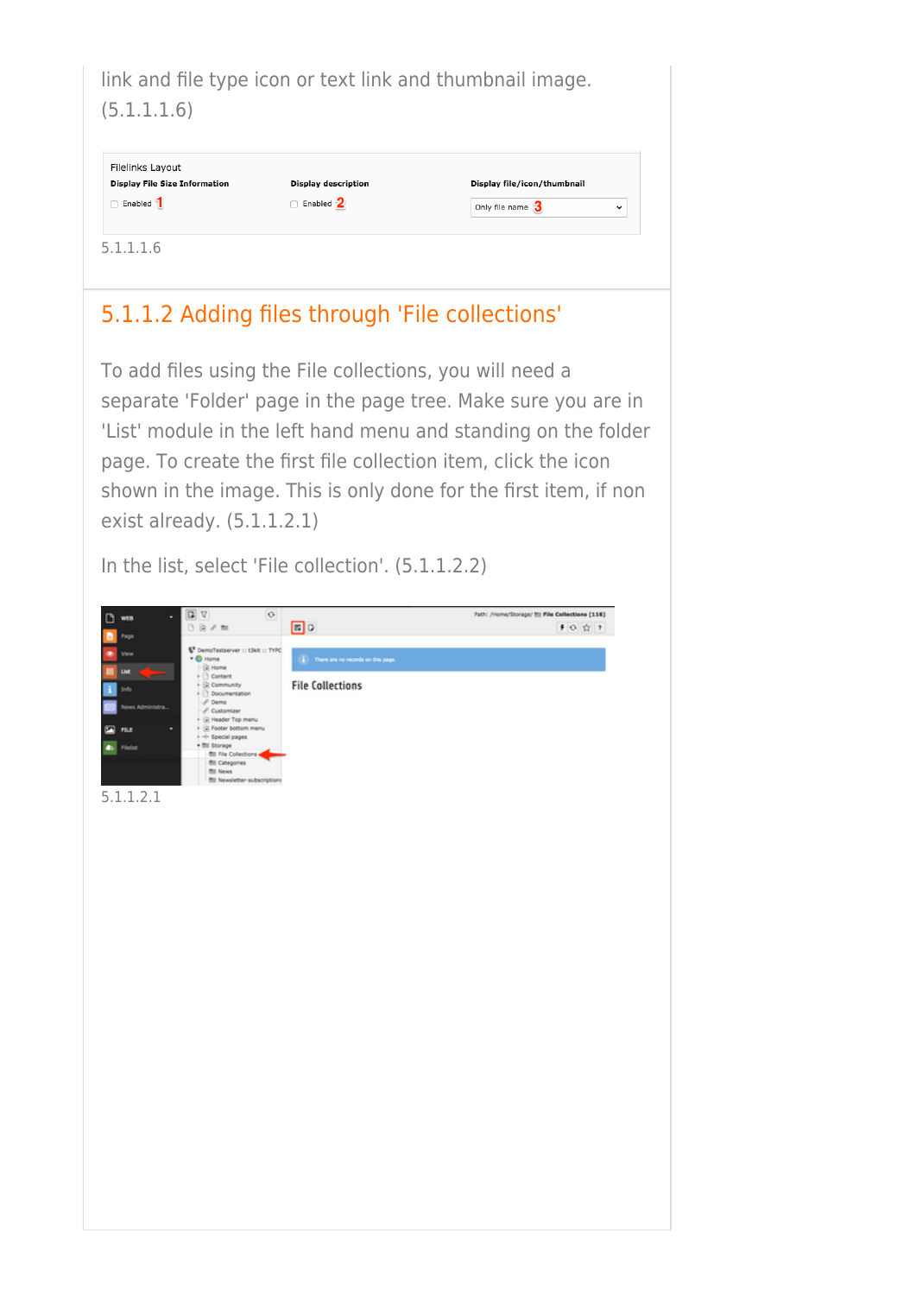link and file type icon or text link and thumbnail image. (5.1.1.1.6)

| <b>Display File Size Information</b> | <b>Display description</b> | Display file/icon/thumbnail |             |
|--------------------------------------|----------------------------|-----------------------------|-------------|
| Enabled                              | $\Box$ Enabled $2$         | Only file name 3            | $\check{ }$ |

### [5.1.1.2 Adding files through 'File collections'](#page--1-0)

To add files using the File collections, you will need a separate 'Folder' page in the page tree. Make sure you are in 'List' module in the left hand menu and standing on the folder page. To create the first file collection item, click the icon shown in the image. This is only done for the first item, if non exist already. (5.1.1.2.1)

In the list, select 'File collection'. (5.1.1.2.2)

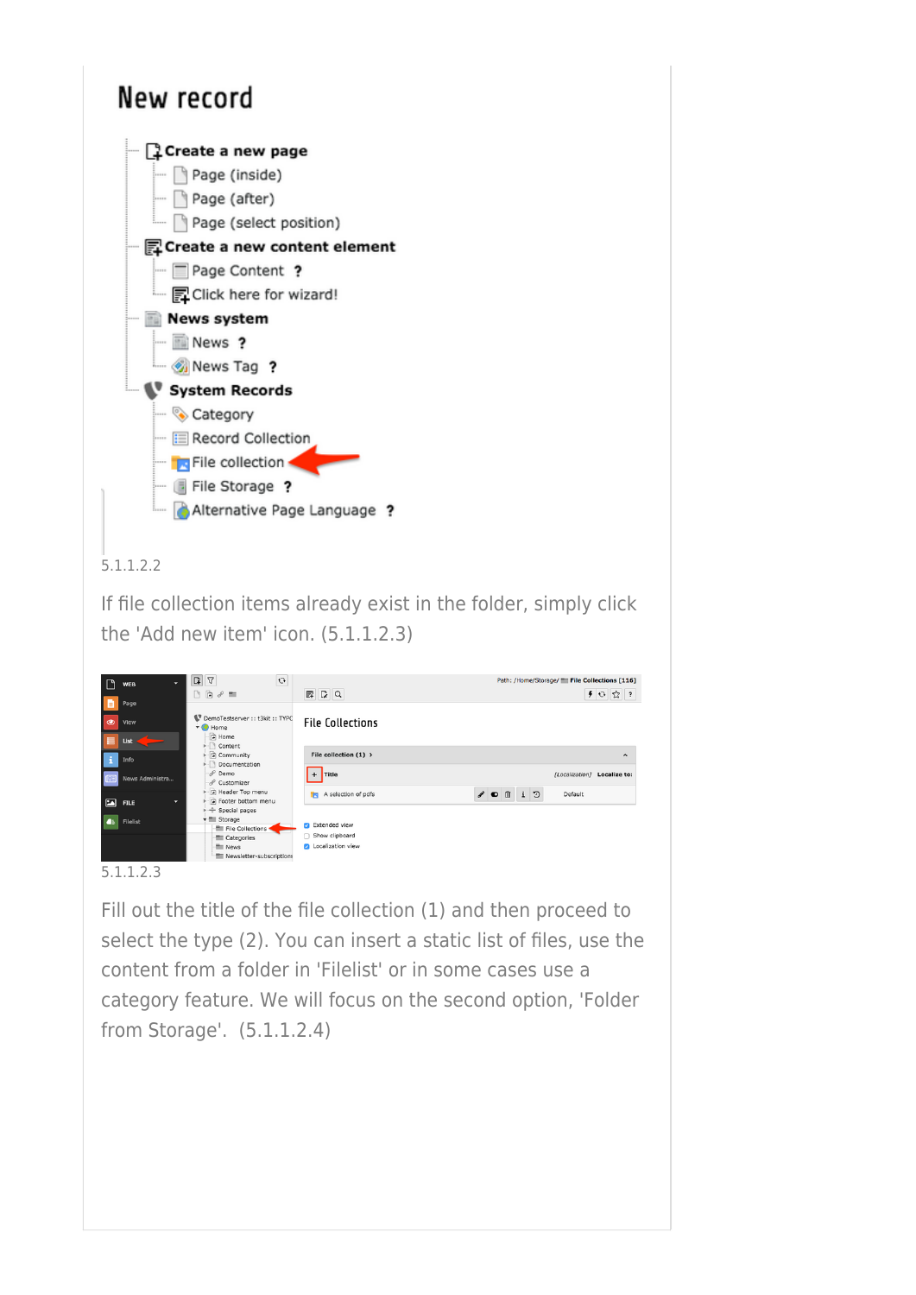

If file collection items already exist in the folder, simply click the 'Add new item' icon. (5.1.1.2.3)

|   | ٠<br><b>WEB</b>  | $\begin{array}{c c c c c} \hline \textbf{G} & \textbf{G} & \textbf{G} \end{array}$<br>$\mathbf{C}$ |                            | Path: /Home/Storage/ File Collections [116]         |
|---|------------------|----------------------------------------------------------------------------------------------------|----------------------------|-----------------------------------------------------|
|   |                  | $\Box\quad \Box\ \theta \ \theta \ \equiv$                                                         | $R$ $Q$                    | 40公?                                                |
|   | Page             |                                                                                                    |                            |                                                     |
| ◉ | View             | DemoTestserver :: t3kit :: TYPC<br>$\bullet$ Home                                                  | <b>File Collections</b>    |                                                     |
|   | List             | A Home<br>i- Content                                                                               |                            |                                                     |
|   | Info             | - Community<br>Documentation                                                                       | File collection $(1)$ >    | $\hat{\phantom{a}}$                                 |
|   | News Administra  | $\mathcal{P}$ Demo<br>& Customizer                                                                 | $+$ Title                  | [Localization] Localize to:                         |
|   | ۰<br><b>FILE</b> | Header Top menu<br>Footer bottom menu<br>$\div$ Special pages                                      | A selection of pdfs<br>TR. | v<br>$\mathbf{i}$<br>ಾ<br>面<br>Default<br>$\bullet$ |
|   | Filelist         | $\overline{\mathbf{v}}$ Storage<br>File Collections                                                | Extended view<br>ø         |                                                     |
|   |                  | Categories                                                                                         | Show clipboard             |                                                     |
|   |                  | News<br>Newsletter-subscriptions                                                                   | <b>D</b> Localization view |                                                     |

### 5.1.1.2.3

Fill out the title of the file collection (1) and then proceed to select the type (2). You can insert a static list of files, use the content from a folder in 'Filelist' or in some cases use a category feature. We will focus on the second option, 'Folder from Storage'. (5.1.1.2.4)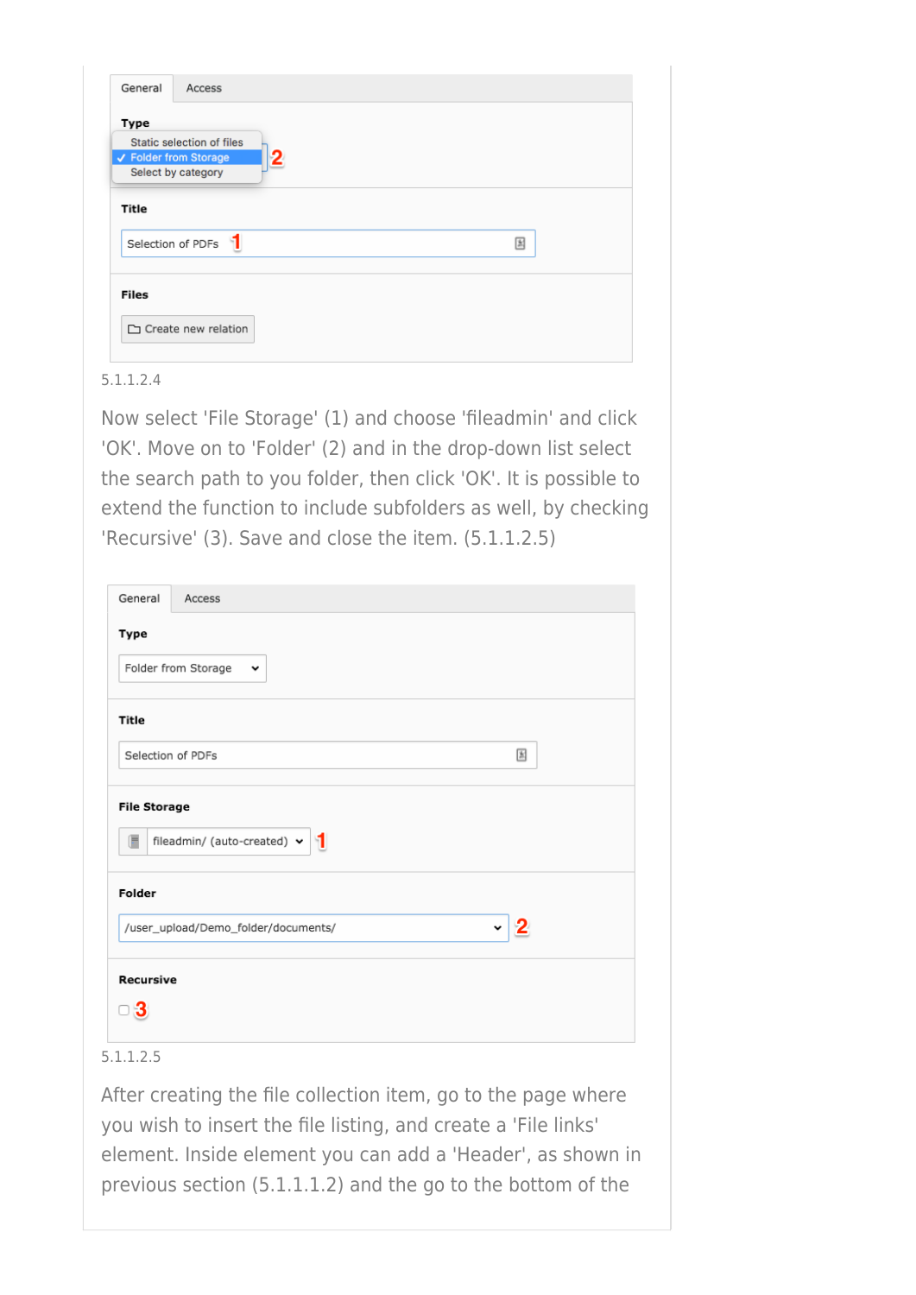| General      | Access                                |   |
|--------------|---------------------------------------|---|
| Type         |                                       |   |
|              | Static selection of files             |   |
|              | $\mathbf{2}$<br>✔ Folder from Storage |   |
|              | Select by category                    |   |
| Title        | Selection of PDFs                     | 国 |
| <b>Files</b> |                                       |   |
|              | □ Create new relation                 |   |

Now select 'File Storage' (1) and choose 'fileadmin' and click 'OK'. Move on to 'Folder' (2) and in the drop-down list select the search path to you folder, then click 'OK'. It is possible to extend the function to include subfolders as well, by checking 'Recursive' (3). Save and close the item. (5.1.1.2.5)

| General          | Access                                 |              |
|------------------|----------------------------------------|--------------|
| Type             |                                        |              |
|                  | Folder from Storage<br>$\check{ }$     |              |
| Title            |                                        |              |
|                  | Selection of PDFs                      | 固            |
| G                | fileadmin/ (auto-created) $\mathbf{v}$ |              |
| Folder           |                                        |              |
|                  | /user_upload/Demo_folder/documents/    | $\checkmark$ |
| <b>Recursive</b> |                                        |              |
| 13               |                                        |              |
|                  |                                        |              |

### 5.1.1.2.5

After creating the file collection item, go to the page where you wish to insert the file listing, and create a 'File links' element. Inside element you can add a 'Header', as shown in previous section (5.1.1.1.2) and the go to the bottom of the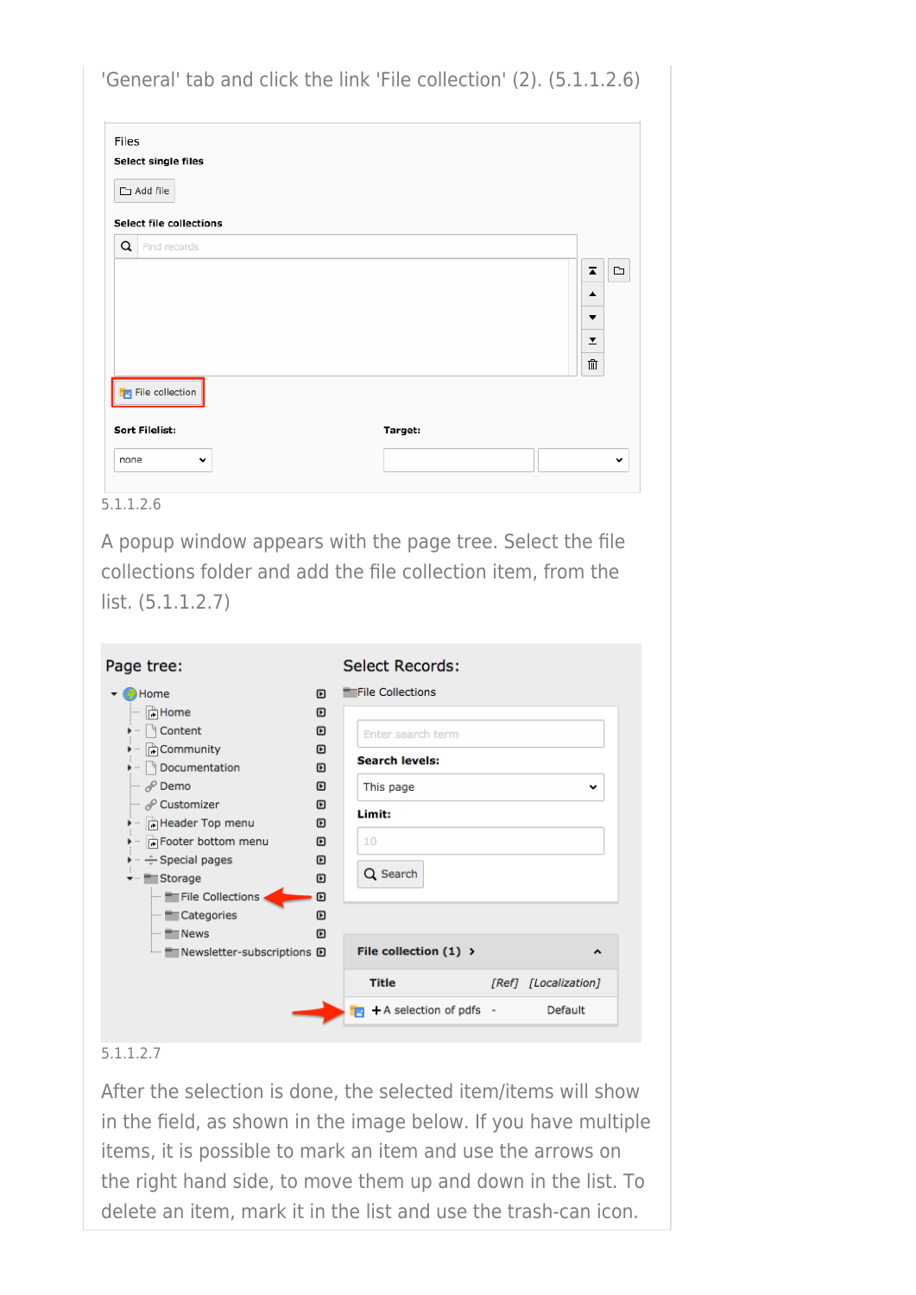| Files<br>Select single files<br>$\Box$ Add file<br><b>Select file collections</b> |        |                                                                                                                             |                            |
|-----------------------------------------------------------------------------------|--------|-----------------------------------------------------------------------------------------------------------------------------|----------------------------|
| Q<br>Find records<br><b>File collection</b>                                       |        |                                                                                                                             | ◘<br>z<br>▲<br>▼<br>Y<br>血 |
| Sort Filelist:<br>none<br>v                                                       |        | Target:                                                                                                                     |                            |
|                                                                                   |        |                                                                                                                             |                            |
|                                                                                   |        | A popup window appears with the page tree. Select the file<br>collections folder and add the file collection item, from the |                            |
|                                                                                   |        | <b>Select Records:</b>                                                                                                      |                            |
| (C) Home<br><sup></sup> ∣े Home                                                   | ▣<br>▣ | <b>File Collections</b>                                                                                                     |                            |
| $\blacktriangleright$ $\blacksquare$ Content<br>→ <b>FCommunity</b>               | ▣<br>▣ | Enter search term                                                                                                           |                            |
| ▶ ···   Documentation                                                             | ▣      | Search levels:                                                                                                              |                            |
| $\mathscr{P}$ Demo<br>$\blacksquare$ $\mathcal{O}$ Customizer                     | ▣<br>▣ | This page<br>Limit:                                                                                                         | v                          |
| i - FHeader Top menu<br>▶ - Footer bottom menu                                    | ▣<br>▣ | 10                                                                                                                          |                            |
| → ÷ Special pages                                                                 | ▣      | Q Search                                                                                                                    |                            |
| ▼ Finderson<br>File Collections                                                   | ▣<br>▣ |                                                                                                                             |                            |
| - Categories<br><b>News</b>                                                       | ▣<br>▣ |                                                                                                                             |                            |
| list. $(5.1.1.2.7)$<br>Page tree:<br><b>Newsletter-subscriptions D</b>            |        | File collection $(1)$ >                                                                                                     | ۸                          |

After the selection is done, the selected item/items will show in the field, as shown in the image below. If you have multiple items, it is possible to mark an item and use the arrows on the right hand side, to move them up and down in the list. To delete an item, mark it in the list and use the trash-can icon.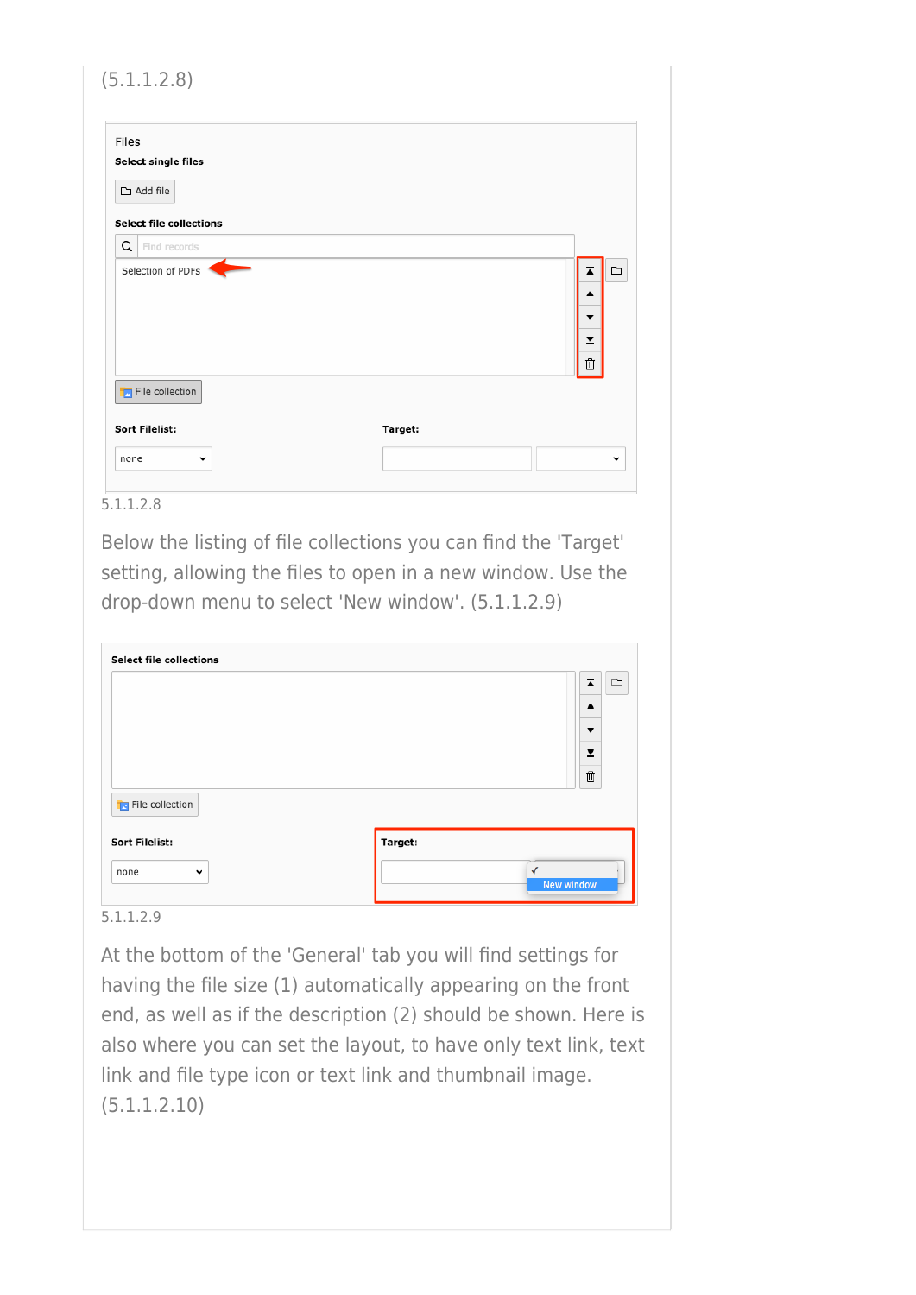| Ā                       | $\Box$ |
|-------------------------|--------|
| ▲                       |        |
| ▼                       |        |
| $\overline{\mathbf{r}}$ |        |
| $\widehat{\mathbb{U}}$  |        |
|                         |        |
|                         |        |
|                         |        |

Below the listing of file collections you can find the 'Target' setting, allowing the files to open in a new window. Use the drop-down menu to select 'New window'. (5.1.1.2.9)

|                          | $\overline{\blacktriangle}$<br>$\Box$ |
|--------------------------|---------------------------------------|
|                          | $\blacktriangle$<br>▼                 |
|                          | ⊻                                     |
|                          | 血                                     |
| <b>T</b> File collection |                                       |
| <b>Sort Filelist:</b>    | Target:                               |
|                          | $\checkmark$                          |

5.1.1.2.9

At the bottom of the 'General' tab you will find settings for having the file size (1) automatically appearing on the front end, as well as if the description (2) should be shown. Here is also where you can set the layout, to have only text link, text link and file type icon or text link and thumbnail image. (5.1.1.2.10)